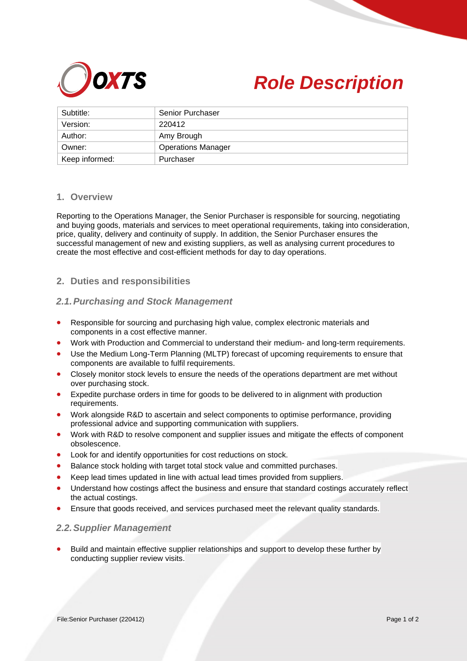



| Subtitle:      | <b>Senior Purchaser</b>   |
|----------------|---------------------------|
| Version:       | 220412                    |
| Author:        | Amy Brough                |
| Owner:         | <b>Operations Manager</b> |
| Keep informed: | Purchaser                 |

# **1. Overview**

Reporting to the Operations Manager, the Senior Purchaser is responsible for sourcing, negotiating and buying goods, materials and services to meet operational requirements, taking into consideration, price, quality, delivery and continuity of supply. In addition, the Senior Purchaser ensures the successful management of new and existing suppliers, as well as analysing current procedures to create the most effective and cost-efficient methods for day to day operations.

# **2. Duties and responsibilities**

# *2.1.Purchasing and Stock Management*

- Responsible for sourcing and purchasing high value, complex electronic materials and components in a cost effective manner.
- Work with Production and Commercial to understand their medium- and long-term requirements.
- Use the Medium Long-Term Planning (MLTP) forecast of upcoming requirements to ensure that components are available to fulfil requirements.
- Closely monitor stock levels to ensure the needs of the operations department are met without over purchasing stock.
- Expedite purchase orders in time for goods to be delivered to in alignment with production requirements.
- Work alongside R&D to ascertain and select components to optimise performance, providing professional advice and supporting communication with suppliers.
- Work with R&D to resolve component and supplier issues and mitigate the effects of component obsolescence.
- Look for and identify opportunities for cost reductions on stock.
- Balance stock holding with target total stock value and committed purchases.
- Keep lead times updated in line with actual lead times provided from suppliers.
- Understand how costings affect the business and ensure that standard costings accurately reflect the actual costings.
- Ensure that goods received, and services purchased meet the relevant quality standards.

# *2.2.Supplier Management*

Build and maintain effective supplier relationships and support to develop these further by conducting supplier review visits.